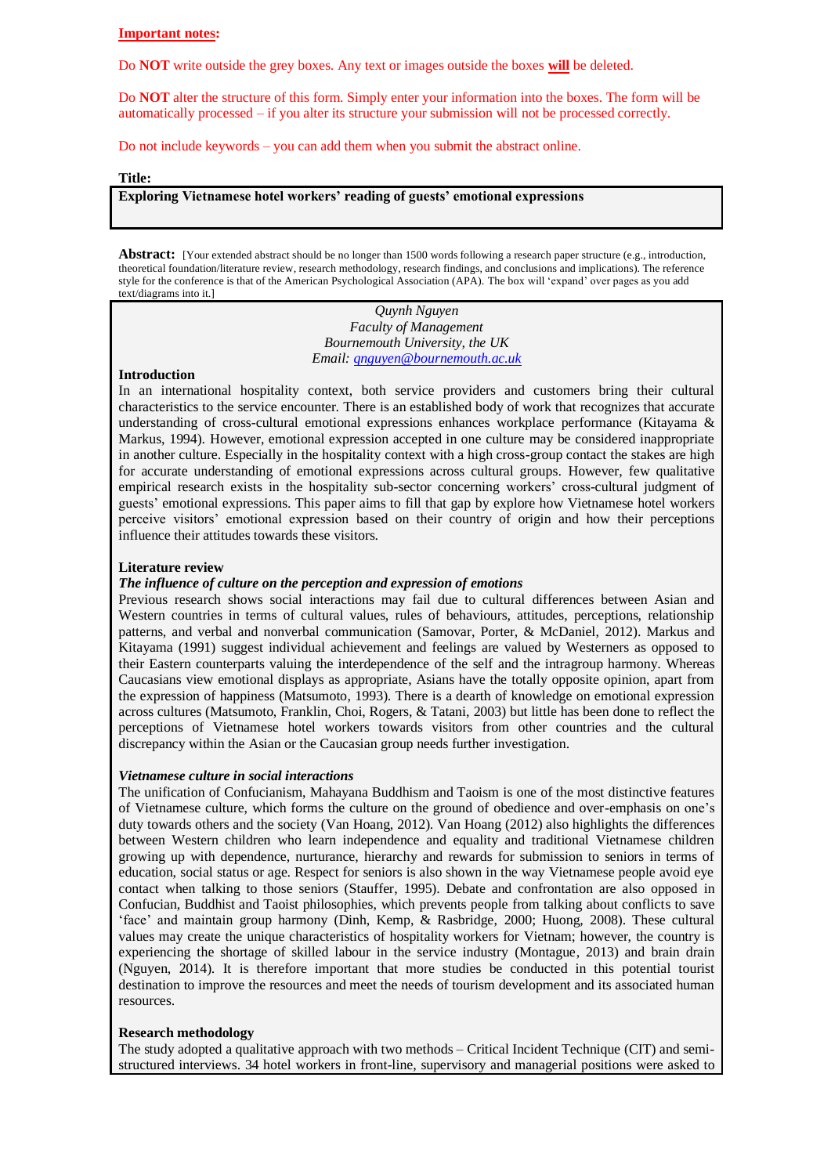## **Important notes:**

Do **NOT** write outside the grey boxes. Any text or images outside the boxes **will** be deleted.

Do **NOT** alter the structure of this form. Simply enter your information into the boxes. The form will be automatically processed – if you alter its structure your submission will not be processed correctly.

Do not include keywords – you can add them when you submit the abstract online.

#### **Title:**

# **Exploring Vietnamese hotel workers' reading of guests' emotional expressions**

**Abstract:** [Your extended abstract should be no longer than 1500 words following a research paper structure (e.g., introduction, theoretical foundation/literature review, research methodology, research findings, and conclusions and implications). The reference style for the conference is that of the American Psychological Association (APA). The box will 'expand' over pages as you add text/diagrams into it.]

> *Quynh Nguyen Faculty of Management Bournemouth University, the UK Email: [qnguyen@bournemouth.ac.uk](mailto:qnguyen@bournemouth.ac.uk)*

### **Introduction**

In an international hospitality context, both service providers and customers bring their cultural characteristics to the service encounter. There is an established body of work that recognizes that accurate understanding of cross-cultural emotional expressions enhances workplace performance (Kitayama & Markus, 1994). However, emotional expression accepted in one culture may be considered inappropriate in another culture. Especially in the hospitality context with a high cross-group contact the stakes are high for accurate understanding of emotional expressions across cultural groups. However, few qualitative empirical research exists in the hospitality sub-sector concerning workers' cross-cultural judgment of guests' emotional expressions. This paper aims to fill that gap by explore how Vietnamese hotel workers perceive visitors' emotional expression based on their country of origin and how their perceptions influence their attitudes towards these visitors.

#### **Literature review**

#### *The influence of culture on the perception and expression of emotions*

Previous research shows social interactions may fail due to cultural differences between Asian and Western countries in terms of cultural values, rules of behaviours, attitudes, perceptions, relationship patterns, and verbal and nonverbal communication (Samovar, Porter, & McDaniel, 2012). Markus and Kitayama (1991) suggest individual achievement and feelings are valued by Westerners as opposed to their Eastern counterparts valuing the interdependence of the self and the intragroup harmony. Whereas Caucasians view emotional displays as appropriate, Asians have the totally opposite opinion, apart from the expression of happiness (Matsumoto, 1993). There is a dearth of knowledge on emotional expression across cultures (Matsumoto, Franklin, Choi, Rogers, & Tatani, 2003) but little has been done to reflect the perceptions of Vietnamese hotel workers towards visitors from other countries and the cultural discrepancy within the Asian or the Caucasian group needs further investigation.

## *Vietnamese culture in social interactions*

The unification of Confucianism, Mahayana Buddhism and Taoism is one of the most distinctive features of Vietnamese culture, which forms the culture on the ground of obedience and over-emphasis on one's duty towards others and the society (Van Hoang, 2012). Van Hoang (2012) also highlights the differences between Western children who learn independence and equality and traditional Vietnamese children growing up with dependence, nurturance, hierarchy and rewards for submission to seniors in terms of education, social status or age. Respect for seniors is also shown in the way Vietnamese people avoid eye contact when talking to those seniors (Stauffer, 1995). Debate and confrontation are also opposed in Confucian, Buddhist and Taoist philosophies, which prevents people from talking about conflicts to save 'face' and maintain group harmony (Dinh, Kemp, & Rasbridge, 2000; Huong, 2008). These cultural values may create the unique characteristics of hospitality workers for Vietnam; however, the country is experiencing the shortage of skilled labour in the service industry (Montague, 2013) and brain drain (Nguyen, 2014). It is therefore important that more studies be conducted in this potential tourist destination to improve the resources and meet the needs of tourism development and its associated human resources.

#### **Research methodology**

The study adopted a qualitative approach with two methods – Critical Incident Technique (CIT) and semistructured interviews. 34 hotel workers in front-line, supervisory and managerial positions were asked to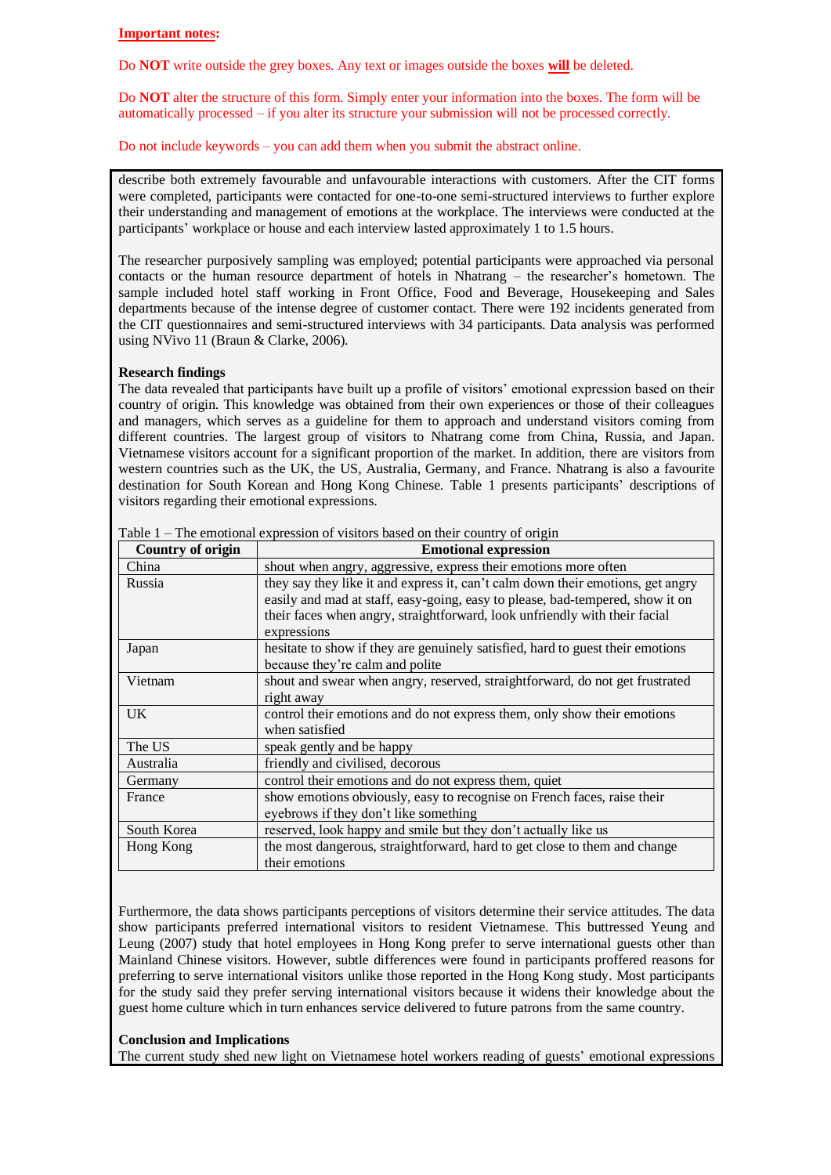## **Important notes:**

Do **NOT** write outside the grey boxes. Any text or images outside the boxes **will** be deleted.

Do **NOT** alter the structure of this form. Simply enter your information into the boxes. The form will be automatically processed – if you alter its structure your submission will not be processed correctly.

Do not include keywords – you can add them when you submit the abstract online.

describe both extremely favourable and unfavourable interactions with customers. After the CIT forms were completed, participants were contacted for one-to-one semi-structured interviews to further explore their understanding and management of emotions at the workplace. The interviews were conducted at the participants' workplace or house and each interview lasted approximately 1 to 1.5 hours.

The researcher purposively sampling was employed; potential participants were approached via personal contacts or the human resource department of hotels in Nhatrang – the researcher's hometown. The sample included hotel staff working in Front Office, Food and Beverage, Housekeeping and Sales departments because of the intense degree of customer contact. There were 192 incidents generated from the CIT questionnaires and semi-structured interviews with 34 participants. Data analysis was performed using NVivo 11 (Braun & Clarke, 2006).

## **Research findings**

The data revealed that participants have built up a profile of visitors' emotional expression based on their country of origin. This knowledge was obtained from their own experiences or those of their colleagues and managers, which serves as a guideline for them to approach and understand visitors coming from different countries. The largest group of visitors to Nhatrang come from China, Russia, and Japan. Vietnamese visitors account for a significant proportion of the market. In addition, there are visitors from western countries such as the UK, the US, Australia, Germany, and France. Nhatrang is also a favourite destination for South Korean and Hong Kong Chinese. Table 1 presents participants' descriptions of visitors regarding their emotional expressions.

| <b>Country of origin</b> | <b>Emotional expression</b>                                                     |
|--------------------------|---------------------------------------------------------------------------------|
| China                    | shout when angry, aggressive, express their emotions more often                 |
| Russia                   | they say they like it and express it, can't calm down their emotions, get angry |
|                          | easily and mad at staff, easy-going, easy to please, bad-tempered, show it on   |
|                          | their faces when angry, straightforward, look unfriendly with their facial      |
|                          | expressions                                                                     |
| Japan                    | hesitate to show if they are genuinely satisfied, hard to guest their emotions  |
|                          | because they're calm and polite                                                 |
| Vietnam                  | shout and swear when angry, reserved, straightforward, do not get frustrated    |
|                          | right away                                                                      |
| UK.                      | control their emotions and do not express them, only show their emotions        |
|                          | when satisfied                                                                  |
| The US                   | speak gently and be happy                                                       |
| Australia                | friendly and civilised, decorous                                                |
| Germany                  | control their emotions and do not express them, quiet                           |
| France                   | show emotions obviously, easy to recognise on French faces, raise their         |
|                          | eyebrows if they don't like something                                           |
| South Korea              | reserved, look happy and smile but they don't actually like us                  |
| Hong Kong                | the most dangerous, straightforward, hard to get close to them and change       |
|                          | their emotions                                                                  |

Table 1 – The emotional expression of visitors based on their country of origin

Furthermore, the data shows participants perceptions of visitors determine their service attitudes. The data show participants preferred international visitors to resident Vietnamese. This buttressed Yeung and Leung (2007) study that hotel employees in Hong Kong prefer to serve international guests other than Mainland Chinese visitors. However, subtle differences were found in participants proffered reasons for preferring to serve international visitors unlike those reported in the Hong Kong study. Most participants for the study said they prefer serving international visitors because it widens their knowledge about the guest home culture which in turn enhances service delivered to future patrons from the same country.

## **Conclusion and Implications**

The current study shed new light on Vietnamese hotel workers reading of guests' emotional expressions